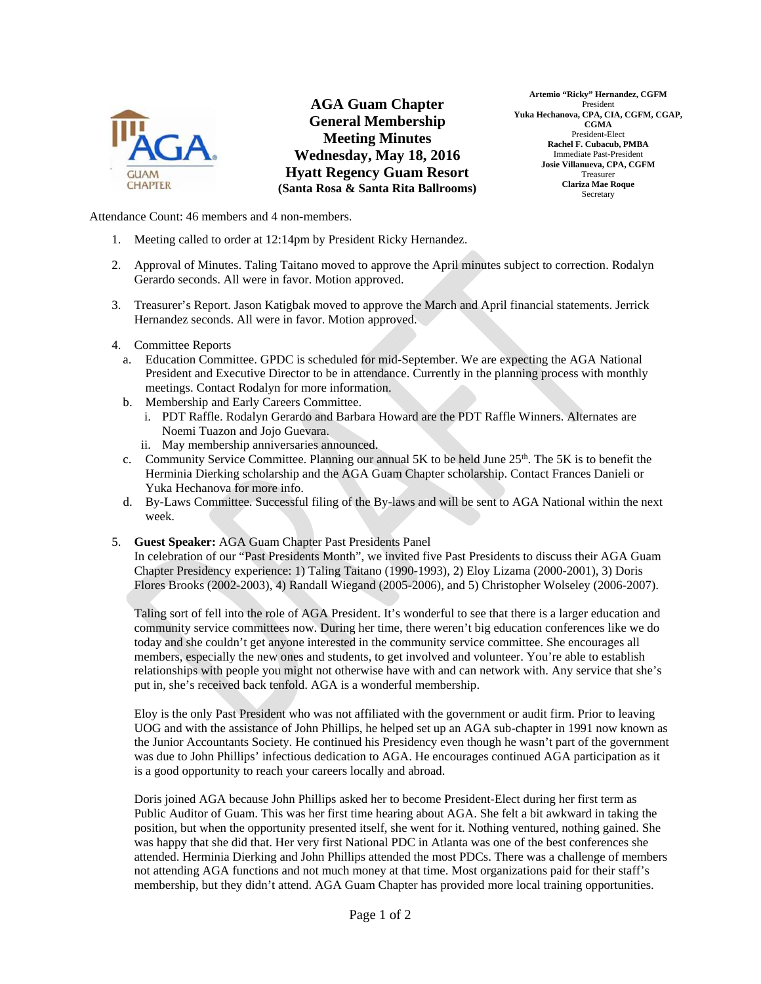

**AGA Guam Chapter General Membership Meeting Minutes Wednesday, May 18, 2016 Hyatt Regency Guam Resort (Santa Rosa & Santa Rita Ballrooms)** 

**Artemio "Ricky" Hernandez, CGFM**  President **Yuka Hechanova, CPA, CIA, CGFM, CGAP, CGMA**  President-Elect **Rachel F. Cubacub, PMBA**  Immediate Past-President **Josie Villanueva, CPA, CGFM**  Treasurer **Clariza Mae Roque**  Secretary

Attendance Count: 46 members and 4 non-members.

- 1. Meeting called to order at 12:14pm by President Ricky Hernandez.
- 2. Approval of Minutes. Taling Taitano moved to approve the April minutes subject to correction. Rodalyn Gerardo seconds. All were in favor. Motion approved.
- 3. Treasurer's Report. Jason Katigbak moved to approve the March and April financial statements. Jerrick Hernandez seconds. All were in favor. Motion approved.
- 4. Committee Reports
	- a. Education Committee. GPDC is scheduled for mid-September. We are expecting the AGA National President and Executive Director to be in attendance. Currently in the planning process with monthly meetings. Contact Rodalyn for more information.
	- b. Membership and Early Careers Committee.
		- i. PDT Raffle. Rodalyn Gerardo and Barbara Howard are the PDT Raffle Winners. Alternates are Noemi Tuazon and Jojo Guevara.
		- ii. May membership anniversaries announced.
	- c. Community Service Committee. Planning our annual 5K to be held June 25<sup>th</sup>. The 5K is to benefit the Herminia Dierking scholarship and the AGA Guam Chapter scholarship. Contact Frances Danieli or Yuka Hechanova for more info.
	- d. By-Laws Committee. Successful filing of the By-laws and will be sent to AGA National within the next week.
- 5. **Guest Speaker:** AGA Guam Chapter Past Presidents Panel

In celebration of our "Past Presidents Month", we invited five Past Presidents to discuss their AGA Guam Chapter Presidency experience: 1) Taling Taitano (1990-1993), 2) Eloy Lizama (2000-2001), 3) Doris Flores Brooks (2002-2003), 4) Randall Wiegand (2005-2006), and 5) Christopher Wolseley (2006-2007).

Taling sort of fell into the role of AGA President. It's wonderful to see that there is a larger education and community service committees now. During her time, there weren't big education conferences like we do today and she couldn't get anyone interested in the community service committee. She encourages all members, especially the new ones and students, to get involved and volunteer. You're able to establish relationships with people you might not otherwise have with and can network with. Any service that she's put in, she's received back tenfold. AGA is a wonderful membership.

Eloy is the only Past President who was not affiliated with the government or audit firm. Prior to leaving UOG and with the assistance of John Phillips, he helped set up an AGA sub-chapter in 1991 now known as the Junior Accountants Society. He continued his Presidency even though he wasn't part of the government was due to John Phillips' infectious dedication to AGA. He encourages continued AGA participation as it is a good opportunity to reach your careers locally and abroad.

Doris joined AGA because John Phillips asked her to become President-Elect during her first term as Public Auditor of Guam. This was her first time hearing about AGA. She felt a bit awkward in taking the position, but when the opportunity presented itself, she went for it. Nothing ventured, nothing gained. She was happy that she did that. Her very first National PDC in Atlanta was one of the best conferences she attended. Herminia Dierking and John Phillips attended the most PDCs. There was a challenge of members not attending AGA functions and not much money at that time. Most organizations paid for their staff's membership, but they didn't attend. AGA Guam Chapter has provided more local training opportunities.